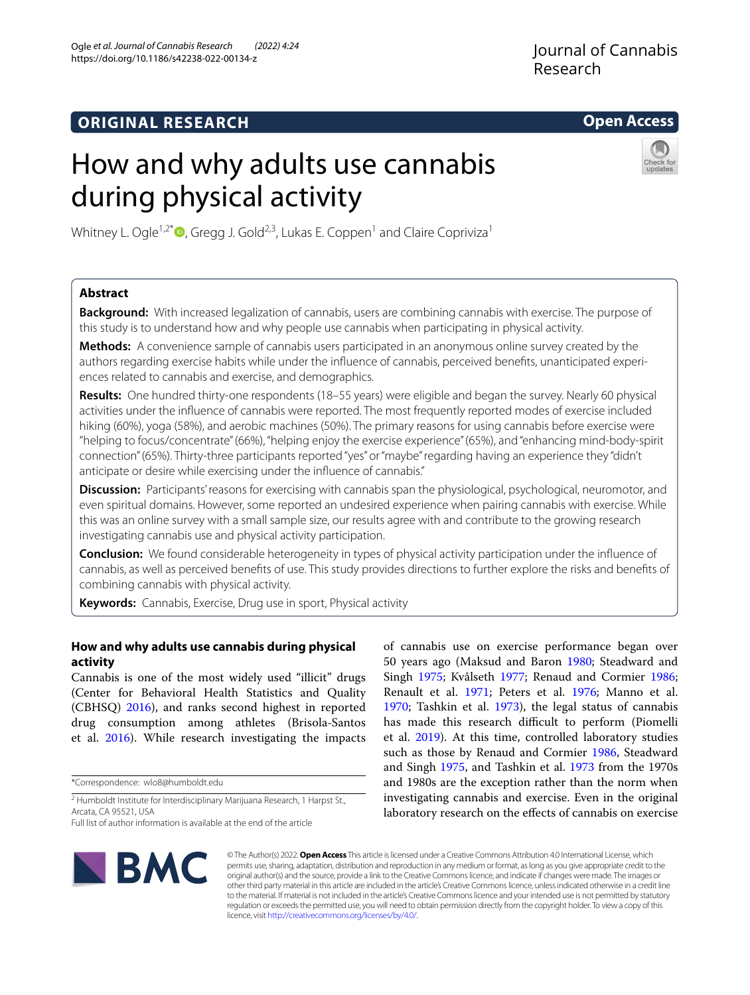# **ORIGINAL RESEARCH**

# **Open Access**

# How and why adults use cannabis during physical activity



Whitney L. Ogle<sup>1,2[\\*](http://orcid.org/0000-0001-7392-7614)</sup>  $\bullet$ , Gregg J. Gold<sup>2,3</sup>, Lukas E. Coppen<sup>1</sup> and Claire Copriviza<sup>1</sup>

## **Abstract**

**Background:** With increased legalization of cannabis, users are combining cannabis with exercise. The purpose of this study is to understand how and why people use cannabis when participating in physical activity.

**Methods:** A convenience sample of cannabis users participated in an anonymous online survey created by the authors regarding exercise habits while under the infuence of cannabis, perceived benefts, unanticipated experiences related to cannabis and exercise, and demographics.

**Results:** One hundred thirty-one respondents (18–55 years) were eligible and began the survey. Nearly 60 physical activities under the infuence of cannabis were reported. The most frequently reported modes of exercise included hiking (60%), yoga (58%), and aerobic machines (50%). The primary reasons for using cannabis before exercise were "helping to focus/concentrate" (66%), "helping enjoy the exercise experience" (65%), and "enhancing mind-body-spirit connection" (65%). Thirty-three participants reported "yes" or "maybe" regarding having an experience they "didn't anticipate or desire while exercising under the infuence of cannabis."

**Discussion:** Participants' reasons for exercising with cannabis span the physiological, psychological, neuromotor, and even spiritual domains. However, some reported an undesired experience when pairing cannabis with exercise. While this was an online survey with a small sample size, our results agree with and contribute to the growing research investigating cannabis use and physical activity participation.

**Conclusion:** We found considerable heterogeneity in types of physical activity participation under the infuence of cannabis, as well as perceived benefts of use. This study provides directions to further explore the risks and benefts of combining cannabis with physical activity.

**Keywords:** Cannabis, Exercise, Drug use in sport, Physical activity

## **How and why adults use cannabis during physical activity**

Cannabis is one of the most widely used "illicit" drugs (Center for Behavioral Health Statistics and Quality (CBHSQ) [2016](#page-8-0)), and ranks second highest in reported drug consumption among athletes (Brisola-Santos et al. [2016](#page-8-1)). While research investigating the impacts

\*Correspondence: wlo8@humboldt.edu

<sup>2</sup> Humboldt Institute for Interdisciplinary Marijuana Research, 1 Harpst St., Arcata, CA 95521, USA

Full list of author information is available at the end of the article

of cannabis use on exercise performance began over 50 years ago (Maksud and Baron [1980](#page-9-0); Steadward and Singh [1975;](#page-9-1) Kvålseth [1977;](#page-8-2) Renaud and Cormier [1986](#page-9-2); Renault et al. [1971;](#page-9-3) Peters et al. [1976;](#page-9-4) Manno et al. [1970](#page-9-5); Tashkin et al. [1973](#page-9-6)), the legal status of cannabis has made this research difficult to perform (Piomelli et al. [2019\)](#page-9-7). At this time, controlled laboratory studies such as those by Renaud and Cormier [1986,](#page-9-2) Steadward and Singh [1975](#page-9-1), and Tashkin et al. [1973](#page-9-6) from the 1970s and 1980s are the exception rather than the norm when investigating cannabis and exercise. Even in the original laboratory research on the effects of cannabis on exercise



© The Author(s) 2022. **Open Access** This article is licensed under a Creative Commons Attribution 4.0 International License, which permits use, sharing, adaptation, distribution and reproduction in any medium or format, as long as you give appropriate credit to the original author(s) and the source, provide a link to the Creative Commons licence, and indicate if changes were made. The images or other third party material in this article are included in the article's Creative Commons licence, unless indicated otherwise in a credit line to the material. If material is not included in the article's Creative Commons licence and your intended use is not permitted by statutory regulation or exceeds the permitted use, you will need to obtain permission directly from the copyright holder. To view a copy of this licence, visit [http://creativecommons.org/licenses/by/4.0/.](http://creativecommons.org/licenses/by/4.0/)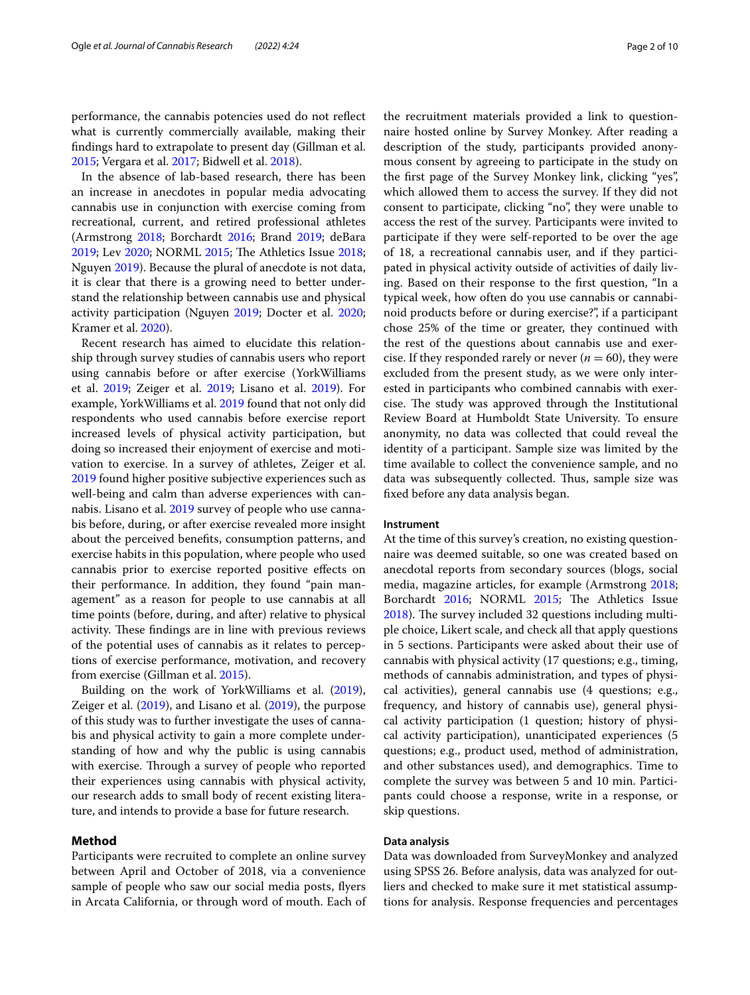performance, the cannabis potencies used do not refect what is currently commercially available, making their fndings hard to extrapolate to present day (Gillman et al. [2015](#page-8-3); Vergara et al. [2017](#page-9-8); Bidwell et al. [2018](#page-8-4)).

In the absence of lab-based research, there has been an increase in anecdotes in popular media advocating cannabis use in conjunction with exercise coming from recreational, current, and retired professional athletes (Armstrong [2018;](#page-8-5) Borchardt [2016;](#page-8-6) Brand [2019;](#page-8-7) deBara [2019](#page-8-8); Lev [2020;](#page-8-9) NORML [2015;](#page-9-9) The Athletics Issue [2018](#page-9-10); Nguyen [2019\)](#page-9-11). Because the plural of anecdote is not data, it is clear that there is a growing need to better understand the relationship between cannabis use and physical activity participation (Nguyen [2019;](#page-9-11) Docter et al. [2020](#page-8-10); Kramer et al. [2020\)](#page-8-11).

Recent research has aimed to elucidate this relationship through survey studies of cannabis users who report using cannabis before or after exercise (YorkWilliams et al. [2019;](#page-9-12) Zeiger et al. [2019](#page-9-13); Lisano et al. [2019](#page-8-12)). For example, YorkWilliams et al. [2019](#page-9-12) found that not only did respondents who used cannabis before exercise report increased levels of physical activity participation, but doing so increased their enjoyment of exercise and motivation to exercise. In a survey of athletes, Zeiger et al. [2019](#page-9-13) found higher positive subjective experiences such as well-being and calm than adverse experiences with cannabis. Lisano et al. [2019](#page-8-12) survey of people who use cannabis before, during, or after exercise revealed more insight about the perceived benefts, consumption patterns, and exercise habits in this population, where people who used cannabis prior to exercise reported positive efects on their performance. In addition, they found "pain management" as a reason for people to use cannabis at all time points (before, during, and after) relative to physical activity. These findings are in line with previous reviews of the potential uses of cannabis as it relates to perceptions of exercise performance, motivation, and recovery from exercise (Gillman et al. [2015\)](#page-8-3).

Building on the work of YorkWilliams et al. [\(2019](#page-9-12)), Zeiger et al. ([2019](#page-9-13)), and Lisano et al. [\(2019](#page-8-12)), the purpose of this study was to further investigate the uses of cannabis and physical activity to gain a more complete understanding of how and why the public is using cannabis with exercise. Through a survey of people who reported their experiences using cannabis with physical activity, our research adds to small body of recent existing literature, and intends to provide a base for future research.

#### **Method**

Participants were recruited to complete an online survey between April and October of 2018, via a convenience sample of people who saw our social media posts, fyers in Arcata California, or through word of mouth. Each of

the recruitment materials provided a link to questionnaire hosted online by Survey Monkey. After reading a description of the study, participants provided anonymous consent by agreeing to participate in the study on the frst page of the Survey Monkey link, clicking "yes", which allowed them to access the survey. If they did not consent to participate, clicking "no", they were unable to access the rest of the survey. Participants were invited to participate if they were self-reported to be over the age of 18, a recreational cannabis user, and if they participated in physical activity outside of activities of daily living. Based on their response to the frst question, "In a typical week, how often do you use cannabis or cannabinoid products before or during exercise?", if a participant chose 25% of the time or greater, they continued with the rest of the questions about cannabis use and exercise. If they responded rarely or never  $(n = 60)$ , they were excluded from the present study, as we were only interested in participants who combined cannabis with exercise. The study was approved through the Institutional Review Board at Humboldt State University. To ensure anonymity, no data was collected that could reveal the identity of a participant. Sample size was limited by the time available to collect the convenience sample, and no data was subsequently collected. Thus, sample size was fxed before any data analysis began.

#### **Instrument**

At the time of this survey's creation, no existing questionnaire was deemed suitable, so one was created based on anecdotal reports from secondary sources (blogs, social media, magazine articles, for example (Armstrong [2018](#page-8-5); Borchardt [2016](#page-8-6); NORML [2015;](#page-9-9) The Athletics Issue [2018](#page-9-10)). The survey included 32 questions including multiple choice, Likert scale, and check all that apply questions in 5 sections. Participants were asked about their use of cannabis with physical activity (17 questions; e.g., timing, methods of cannabis administration, and types of physical activities), general cannabis use (4 questions; e.g., frequency, and history of cannabis use), general physical activity participation (1 question; history of physical activity participation), unanticipated experiences (5 questions; e.g., product used, method of administration, and other substances used), and demographics. Time to complete the survey was between 5 and 10 min. Participants could choose a response, write in a response, or skip questions.

#### **Data analysis**

Data was downloaded from SurveyMonkey and analyzed using SPSS 26. Before analysis, data was analyzed for outliers and checked to make sure it met statistical assumptions for analysis. Response frequencies and percentages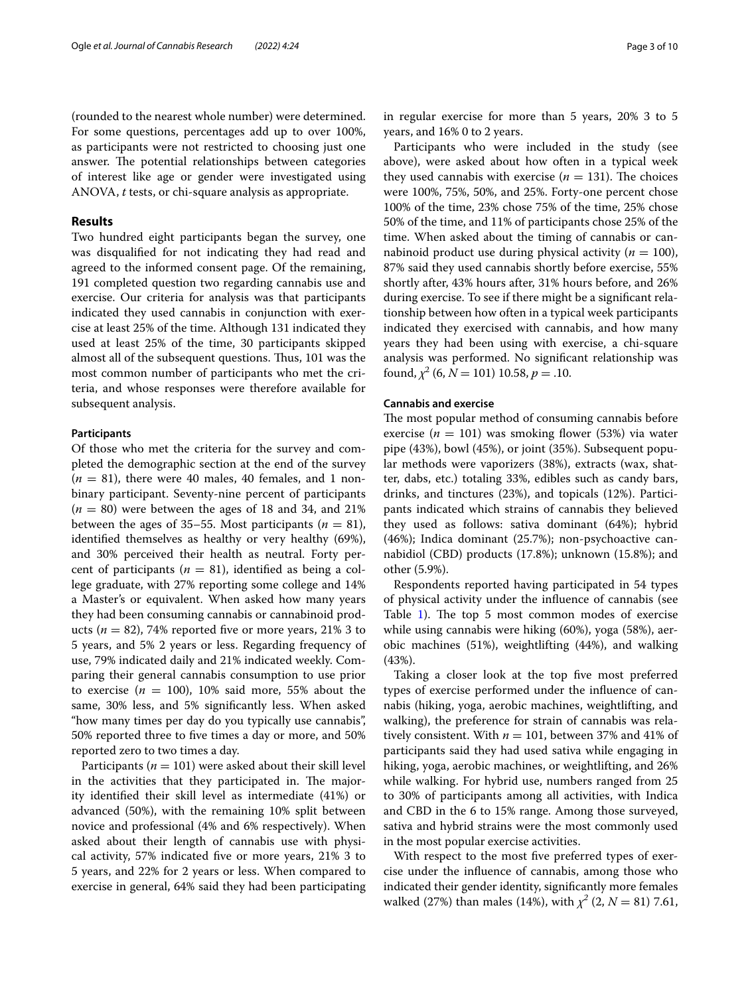(rounded to the nearest whole number) were determined. For some questions, percentages add up to over 100%, as participants were not restricted to choosing just one answer. The potential relationships between categories of interest like age or gender were investigated using ANOVA, *t* tests, or chi-square analysis as appropriate.

### **Results**

Two hundred eight participants began the survey, one was disqualifed for not indicating they had read and agreed to the informed consent page. Of the remaining, 191 completed question two regarding cannabis use and exercise. Our criteria for analysis was that participants indicated they used cannabis in conjunction with exercise at least 25% of the time. Although 131 indicated they used at least 25% of the time, 30 participants skipped almost all of the subsequent questions. Thus, 101 was the most common number of participants who met the criteria, and whose responses were therefore available for subsequent analysis.

#### **Participants**

Of those who met the criteria for the survey and completed the demographic section at the end of the survey  $(n = 81)$ , there were 40 males, 40 females, and 1 nonbinary participant. Seventy-nine percent of participants  $(n = 80)$  were between the ages of 18 and 34, and 21% between the ages of 35–55. Most participants ( $n = 81$ ), identifed themselves as healthy or very healthy (69%), and 30% perceived their health as neutral. Forty percent of participants ( $n = 81$ ), identified as being a college graduate, with 27% reporting some college and 14% a Master's or equivalent. When asked how many years they had been consuming cannabis or cannabinoid products ( $n = 82$ ), 74% reported five or more years, 21% 3 to 5 years, and 5% 2 years or less. Regarding frequency of use, 79% indicated daily and 21% indicated weekly. Comparing their general cannabis consumption to use prior to exercise ( $n = 100$ ), 10% said more, 55% about the same, 30% less, and 5% signifcantly less. When asked "how many times per day do you typically use cannabis", 50% reported three to fve times a day or more, and 50% reported zero to two times a day.

Participants ( $n = 101$ ) were asked about their skill level in the activities that they participated in. The majority identifed their skill level as intermediate (41%) or advanced (50%), with the remaining 10% split between novice and professional (4% and 6% respectively). When asked about their length of cannabis use with physical activity, 57% indicated fve or more years, 21% 3 to 5 years, and 22% for 2 years or less. When compared to exercise in general, 64% said they had been participating in regular exercise for more than 5 years, 20% 3 to 5 years, and 16% 0 to 2 years.

Participants who were included in the study (see above), were asked about how often in a typical week they used cannabis with exercise ( $n = 131$ ). The choices were 100%, 75%, 50%, and 25%. Forty-one percent chose 100% of the time, 23% chose 75% of the time, 25% chose 50% of the time, and 11% of participants chose 25% of the time. When asked about the timing of cannabis or cannabinoid product use during physical activity ( $n = 100$ ), 87% said they used cannabis shortly before exercise, 55% shortly after, 43% hours after, 31% hours before, and 26% during exercise. To see if there might be a signifcant relationship between how often in a typical week participants indicated they exercised with cannabis, and how many years they had been using with exercise, a chi-square analysis was performed. No signifcant relationship was found,  $\chi^2$  (6,  $N = 101$ ) 10.58,  $p = .10$ .

#### **Cannabis and exercise**

The most popular method of consuming cannabis before exercise ( $n = 101$ ) was smoking flower (53%) via water pipe (43%), bowl (45%), or joint (35%). Subsequent popular methods were vaporizers (38%), extracts (wax, shatter, dabs, etc.) totaling 33%, edibles such as candy bars, drinks, and tinctures (23%), and topicals (12%). Participants indicated which strains of cannabis they believed they used as follows: sativa dominant (64%); hybrid (46%); Indica dominant (25.7%); non-psychoactive cannabidiol (CBD) products (17.8%); unknown (15.8%); and other (5.9%).

Respondents reported having participated in 54 types of physical activity under the infuence of cannabis (see Table [1\)](#page-3-0). The top 5 most common modes of exercise while using cannabis were hiking (60%), yoga (58%), aerobic machines (51%), weightlifting (44%), and walking (43%).

Taking a closer look at the top fve most preferred types of exercise performed under the infuence of cannabis (hiking, yoga, aerobic machines, weightlifting, and walking), the preference for strain of cannabis was relatively consistent. With  $n = 101$ , between 37% and 41% of participants said they had used sativa while engaging in hiking, yoga, aerobic machines, or weightlifting, and 26% while walking. For hybrid use, numbers ranged from 25 to 30% of participants among all activities, with Indica and CBD in the 6 to 15% range. Among those surveyed, sativa and hybrid strains were the most commonly used in the most popular exercise activities.

With respect to the most five preferred types of exercise under the infuence of cannabis, among those who indicated their gender identity, signifcantly more females walked (27%) than males (14%), with  $\chi^2$  (2,  $N = 81$ ) 7.61,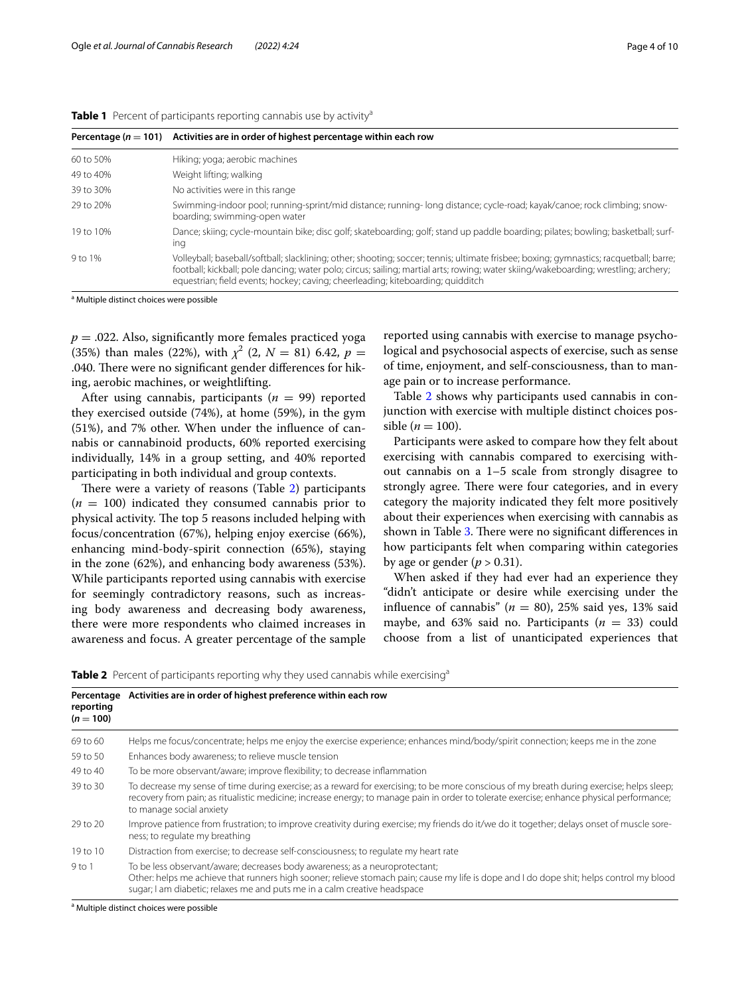<span id="page-3-0"></span>

|  |  |  |  | Table 1 Percent of participants reporting cannabis use by activity <sup>a</sup> |  |
|--|--|--|--|---------------------------------------------------------------------------------|--|
|--|--|--|--|---------------------------------------------------------------------------------|--|

| Percentage ( $n = 101$ ) | Activities are in order of highest percentage within each row                                                                                                                                                                                                                                                                                                    |
|--------------------------|------------------------------------------------------------------------------------------------------------------------------------------------------------------------------------------------------------------------------------------------------------------------------------------------------------------------------------------------------------------|
| 60 to 50%                | Hiking; yoga; aerobic machines                                                                                                                                                                                                                                                                                                                                   |
| 49 to 40%                | Weight lifting; walking                                                                                                                                                                                                                                                                                                                                          |
| 39 to 30%                | No activities were in this range                                                                                                                                                                                                                                                                                                                                 |
| 29 to 20%                | Swimming-indoor pool; running-sprint/mid distance; running- long distance; cycle-road; kayak/canoe; rock climbing; snow-<br>boarding; swimming-open water                                                                                                                                                                                                        |
| 19 to 10%                | Dance; skiing; cycle-mountain bike; disc golf; skateboarding; golf; stand up paddle boarding; pilates; bowling; basketball; surf-<br>ing                                                                                                                                                                                                                         |
| 9 to 1%                  | Volleyball; baseball/softball; slacklining; other; shooting; soccer; tennis; ultimate frisbee; boxing; gymnastics; racquetball; barre;<br>football; kickball; pole dancing; water polo; circus; sailing; martial arts; rowing; water skiing/wakeboarding; wrestling; archery;<br>equestrian; field events; hockey; caving; cheerleading; kiteboarding; quidditch |

<sup>a</sup> Multiple distinct choices were possible

 $p = 0.022$ . Also, significantly more females practiced yoga (35%) than males (22%), with  $\chi^2$  (2,  $N = 81$ ) 6.42,  $p =$ .040. There were no significant gender differences for hiking, aerobic machines, or weightlifting.

After using cannabis, participants  $(n = 99)$  reported they exercised outside (74%), at home (59%), in the gym (51%), and 7% other. When under the infuence of cannabis or cannabinoid products, 60% reported exercising individually, 14% in a group setting, and 40% reported participating in both individual and group contexts.

There were a variety of reasons (Table  $2$ ) participants  $(n = 100)$  indicated they consumed cannabis prior to physical activity. The top 5 reasons included helping with focus/concentration (67%), helping enjoy exercise (66%), enhancing mind-body-spirit connection (65%), staying in the zone (62%), and enhancing body awareness (53%). While participants reported using cannabis with exercise for seemingly contradictory reasons, such as increasing body awareness and decreasing body awareness, there were more respondents who claimed increases in awareness and focus. A greater percentage of the sample

reported using cannabis with exercise to manage psychological and psychosocial aspects of exercise, such as sense of time, enjoyment, and self-consciousness, than to manage pain or to increase performance.

Table [2](#page-3-1) shows why participants used cannabis in conjunction with exercise with multiple distinct choices possible ( $n = 100$ ).

Participants were asked to compare how they felt about exercising with cannabis compared to exercising without cannabis on a 1–5 scale from strongly disagree to strongly agree. There were four categories, and in every category the majority indicated they felt more positively about their experiences when exercising with cannabis as shown in Table [3.](#page-4-0) There were no significant differences in how participants felt when comparing within categories by age or gender  $(p > 0.31)$ .

When asked if they had ever had an experience they "didn't anticipate or desire while exercising under the influence of cannabis"  $(n = 80)$ , 25% said yes, 13% said maybe, and 63% said no. Participants  $(n = 33)$  could choose from a list of unanticipated experiences that

<span id="page-3-1"></span>**Table 2** Percent of participants reporting why they used cannabis while exercising<sup>a</sup>

| Percentage<br>reporting<br>$(n = 100)$ | Activities are in order of highest preference within each row                                                                                                                                                                                                                                                      |  |  |  |  |
|----------------------------------------|--------------------------------------------------------------------------------------------------------------------------------------------------------------------------------------------------------------------------------------------------------------------------------------------------------------------|--|--|--|--|
| 69 to 60                               | Helps me focus/concentrate; helps me enjoy the exercise experience; enhances mind/body/spirit connection; keeps me in the zone                                                                                                                                                                                     |  |  |  |  |
| 59 to 50                               | Enhances body awareness; to relieve muscle tension                                                                                                                                                                                                                                                                 |  |  |  |  |
| 49 to 40                               | To be more observant/aware; improve flexibility; to decrease inflammation                                                                                                                                                                                                                                          |  |  |  |  |
| 39 to 30                               | To decrease my sense of time during exercise; as a reward for exercising; to be more conscious of my breath during exercise; helps sleep;<br>recovery from pain; as ritualistic medicine; increase energy; to manage pain in order to tolerate exercise; enhance physical performance;<br>to manage social anxiety |  |  |  |  |
| 29 to 20                               | Improve patience from frustration; to improve creativity during exercise; my friends do it/we do it together; delays onset of muscle sore-<br>ness; to regulate my breathing                                                                                                                                       |  |  |  |  |
| 19 to 10                               | Distraction from exercise; to decrease self-consciousness; to regulate my heart rate                                                                                                                                                                                                                               |  |  |  |  |
| $9$ to 1                               | To be less observant/aware; decreases body awareness; as a neuroprotectant;<br>Other: helps me achieve that runners high sooner; relieve stomach pain; cause my life is dope and I do dope shit; helps control my blood<br>sugar; I am diabetic; relaxes me and puts me in a calm creative headspace               |  |  |  |  |

<sup>a</sup> Multiple distinct choices were possible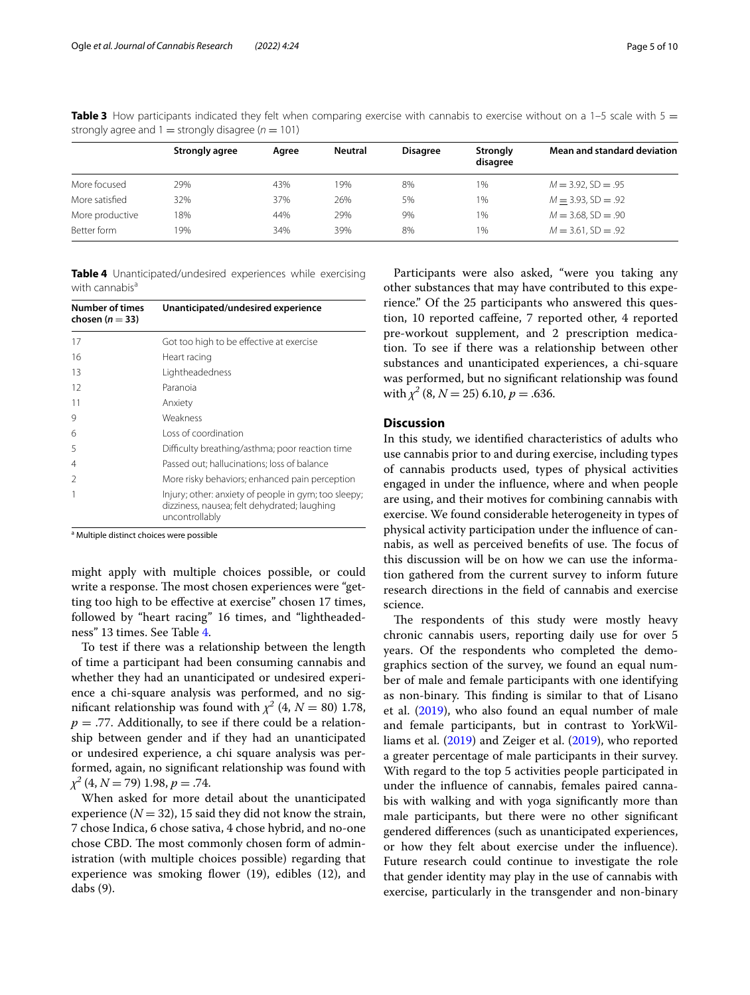<span id="page-4-0"></span>**Table 3** How participants indicated they felt when comparing exercise with cannabis to exercise without on a 1–5 scale with 5 = strongly agree and  $1 =$  strongly disagree ( $n = 101$ )

|                 | Strongly agree | Aaree | <b>Neutral</b> | <b>Disagree</b> | <b>Strongly</b><br>disagree | Mean and standard deviation |
|-----------------|----------------|-------|----------------|-----------------|-----------------------------|-----------------------------|
| More focused    | 29%            | 43%   | 19%            | 8%              | 1%                          | $M = 3.92$ , SD = .95       |
| More satisfied  | 32%            | 37%   | 26%            | 5%              | 1%                          | $M = 3.93$ , SD = .92       |
| More productive | 18%            | 44%   | 29%            | 9%              | 1%                          | $M = 3.68$ , SD = .90       |
| Better form     | 19%            | 34%   | 39%            | 8%              | 1%                          | $M = 3.61$ , SD = .92       |

<span id="page-4-1"></span>**Table 4** Unanticipated/undesired experiences while exercising with cannabis<sup>a</sup>

| <b>Number of times</b><br>chosen ( $n = 33$ ) | Unanticipated/undesired experience                                                                                     |
|-----------------------------------------------|------------------------------------------------------------------------------------------------------------------------|
| 17                                            | Got too high to be effective at exercise                                                                               |
| 16                                            | Heart racing                                                                                                           |
| 13                                            | Lightheadedness                                                                                                        |
| 12                                            | Paranoia                                                                                                               |
| 11                                            | Anxiety                                                                                                                |
| 9                                             | Weakness                                                                                                               |
| 6                                             | Loss of coordination                                                                                                   |
| 5                                             | Difficulty breathing/asthma; poor reaction time                                                                        |
| 4                                             | Passed out; hallucinations; loss of balance                                                                            |
| $\mathcal{P}$                                 | More risky behaviors; enhanced pain perception                                                                         |
|                                               | Injury; other: anxiety of people in gym; too sleepy;<br>dizziness, nausea; felt dehydrated; laughing<br>uncontrollably |

<sup>a</sup> Multiple distinct choices were possible

might apply with multiple choices possible, or could write a response. The most chosen experiences were "getting too high to be efective at exercise" chosen 17 times, followed by "heart racing" 16 times, and "lightheadedness" 13 times. See Table [4](#page-4-1).

To test if there was a relationship between the length of time a participant had been consuming cannabis and whether they had an unanticipated or undesired experience a chi-square analysis was performed, and no significant relationship was found with  $\chi^2$  (4,  $N = 80$ ) 1.78,  $p = 0.77$ . Additionally, to see if there could be a relationship between gender and if they had an unanticipated or undesired experience, a chi square analysis was performed, again, no signifcant relationship was found with *χ2* (4, *N* = 79) 1.98, *p* = .74.

When asked for more detail about the unanticipated experience ( $N = 32$ ), 15 said they did not know the strain, 7 chose Indica, 6 chose sativa, 4 chose hybrid, and no-one chose CBD. The most commonly chosen form of administration (with multiple choices possible) regarding that experience was smoking flower  $(19)$ , edibles  $(12)$ , and dabs (9).

Participants were also asked, "were you taking any other substances that may have contributed to this experience." Of the 25 participants who answered this question, 10 reported cafeine, 7 reported other, 4 reported pre-workout supplement, and 2 prescription medication. To see if there was a relationship between other substances and unanticipated experiences, a chi-square was performed, but no signifcant relationship was found with  $\chi^2$  (8,  $N = 25$ ) 6.10,  $p = .636$ .

#### **Discussion**

In this study, we identifed characteristics of adults who use cannabis prior to and during exercise, including types of cannabis products used, types of physical activities engaged in under the infuence, where and when people are using, and their motives for combining cannabis with exercise. We found considerable heterogeneity in types of physical activity participation under the infuence of cannabis, as well as perceived benefits of use. The focus of this discussion will be on how we can use the information gathered from the current survey to inform future research directions in the feld of cannabis and exercise science.

The respondents of this study were mostly heavy chronic cannabis users, reporting daily use for over 5 years. Of the respondents who completed the demographics section of the survey, we found an equal number of male and female participants with one identifying as non-binary. This finding is similar to that of Lisano et al. ([2019](#page-8-12)), who also found an equal number of male and female participants, but in contrast to YorkWilliams et al. [\(2019](#page-9-12)) and Zeiger et al. ([2019](#page-9-13)), who reported a greater percentage of male participants in their survey. With regard to the top 5 activities people participated in under the infuence of cannabis, females paired cannabis with walking and with yoga signifcantly more than male participants, but there were no other signifcant gendered diferences (such as unanticipated experiences, or how they felt about exercise under the infuence). Future research could continue to investigate the role that gender identity may play in the use of cannabis with exercise, particularly in the transgender and non-binary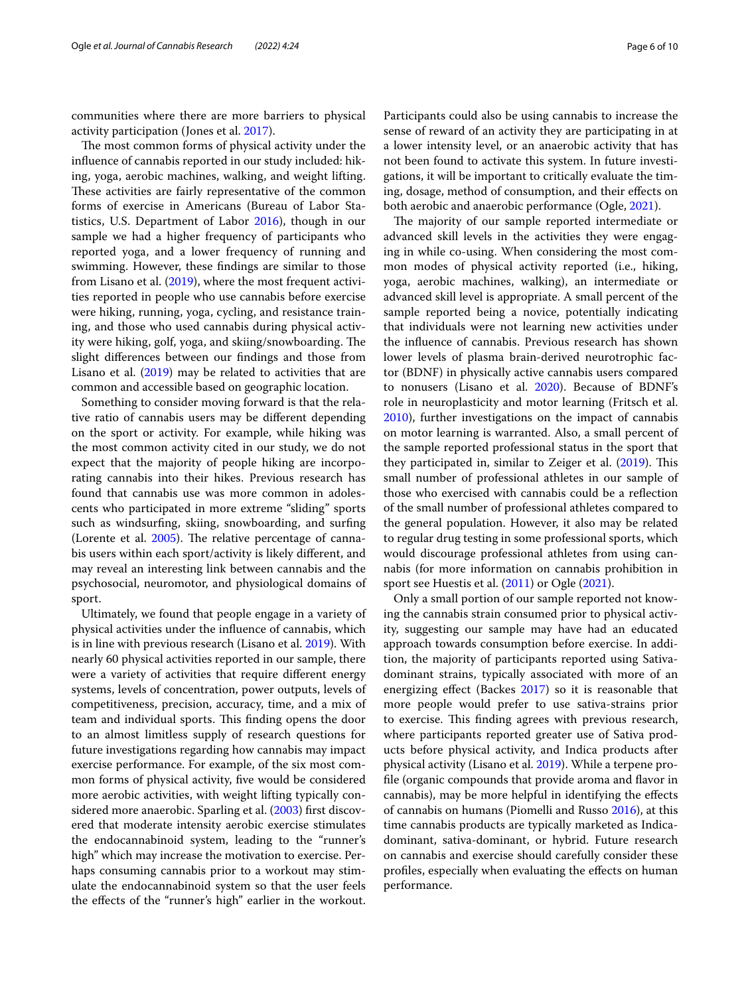communities where there are more barriers to physical activity participation (Jones et al. [2017](#page-8-13)).

The most common forms of physical activity under the infuence of cannabis reported in our study included: hiking, yoga, aerobic machines, walking, and weight lifting. These activities are fairly representative of the common forms of exercise in Americans (Bureau of Labor Statistics, U.S. Department of Labor [2016\)](#page-8-14), though in our sample we had a higher frequency of participants who reported yoga, and a lower frequency of running and swimming. However, these fndings are similar to those from Lisano et al. [\(2019\)](#page-8-12), where the most frequent activities reported in people who use cannabis before exercise were hiking, running, yoga, cycling, and resistance training, and those who used cannabis during physical activity were hiking, golf, yoga, and skiing/snowboarding. The slight diferences between our fndings and those from Lisano et al.  $(2019)$  $(2019)$  $(2019)$  may be related to activities that are common and accessible based on geographic location.

Something to consider moving forward is that the relative ratio of cannabis users may be diferent depending on the sport or activity. For example, while hiking was the most common activity cited in our study, we do not expect that the majority of people hiking are incorporating cannabis into their hikes. Previous research has found that cannabis use was more common in adolescents who participated in more extreme "sliding" sports such as windsurfng, skiing, snowboarding, and surfng (Lorente et al.  $2005$ ). The relative percentage of cannabis users within each sport/activity is likely diferent, and may reveal an interesting link between cannabis and the psychosocial, neuromotor, and physiological domains of sport.

Ultimately, we found that people engage in a variety of physical activities under the infuence of cannabis, which is in line with previous research (Lisano et al. [2019](#page-8-12)). With nearly 60 physical activities reported in our sample, there were a variety of activities that require diferent energy systems, levels of concentration, power outputs, levels of competitiveness, precision, accuracy, time, and a mix of team and individual sports. This finding opens the door to an almost limitless supply of research questions for future investigations regarding how cannabis may impact exercise performance. For example, of the six most common forms of physical activity, fve would be considered more aerobic activities, with weight lifting typically considered more anaerobic. Sparling et al. [\(2003](#page-9-15)) frst discovered that moderate intensity aerobic exercise stimulates the endocannabinoid system, leading to the "runner's high" which may increase the motivation to exercise. Perhaps consuming cannabis prior to a workout may stimulate the endocannabinoid system so that the user feels the efects of the "runner's high" earlier in the workout. Participants could also be using cannabis to increase the sense of reward of an activity they are participating in at a lower intensity level, or an anaerobic activity that has not been found to activate this system. In future investigations, it will be important to critically evaluate the timing, dosage, method of consumption, and their efects on both aerobic and anaerobic performance (Ogle, [2021\)](#page-9-16).

The majority of our sample reported intermediate or advanced skill levels in the activities they were engaging in while co-using. When considering the most common modes of physical activity reported (i.e., hiking, yoga, aerobic machines, walking), an intermediate or advanced skill level is appropriate. A small percent of the sample reported being a novice, potentially indicating that individuals were not learning new activities under the infuence of cannabis. Previous research has shown lower levels of plasma brain-derived neurotrophic factor (BDNF) in physically active cannabis users compared to nonusers (Lisano et al. [2020](#page-8-15)). Because of BDNF's role in neuroplasticity and motor learning (Fritsch et al. [2010](#page-8-16)), further investigations on the impact of cannabis on motor learning is warranted. Also, a small percent of the sample reported professional status in the sport that they participated in, similar to Zeiger et al.  $(2019)$  $(2019)$  $(2019)$ . This small number of professional athletes in our sample of those who exercised with cannabis could be a refection of the small number of professional athletes compared to the general population. However, it also may be related to regular drug testing in some professional sports, which would discourage professional athletes from using cannabis (for more information on cannabis prohibition in sport see Huestis et al. ([2011](#page-8-17)) or Ogle ([2021\)](#page-9-16).

Only a small portion of our sample reported not knowing the cannabis strain consumed prior to physical activity, suggesting our sample may have had an educated approach towards consumption before exercise. In addition, the majority of participants reported using Sativadominant strains, typically associated with more of an energizing effect (Backes  $2017$ ) so it is reasonable that more people would prefer to use sativa-strains prior to exercise. This finding agrees with previous research, where participants reported greater use of Sativa products before physical activity, and Indica products after physical activity (Lisano et al. [2019\)](#page-8-12). While a terpene profle (organic compounds that provide aroma and favor in cannabis), may be more helpful in identifying the efects of cannabis on humans (Piomelli and Russo [2016](#page-9-17)), at this time cannabis products are typically marketed as Indicadominant, sativa-dominant, or hybrid. Future research on cannabis and exercise should carefully consider these profles, especially when evaluating the efects on human performance.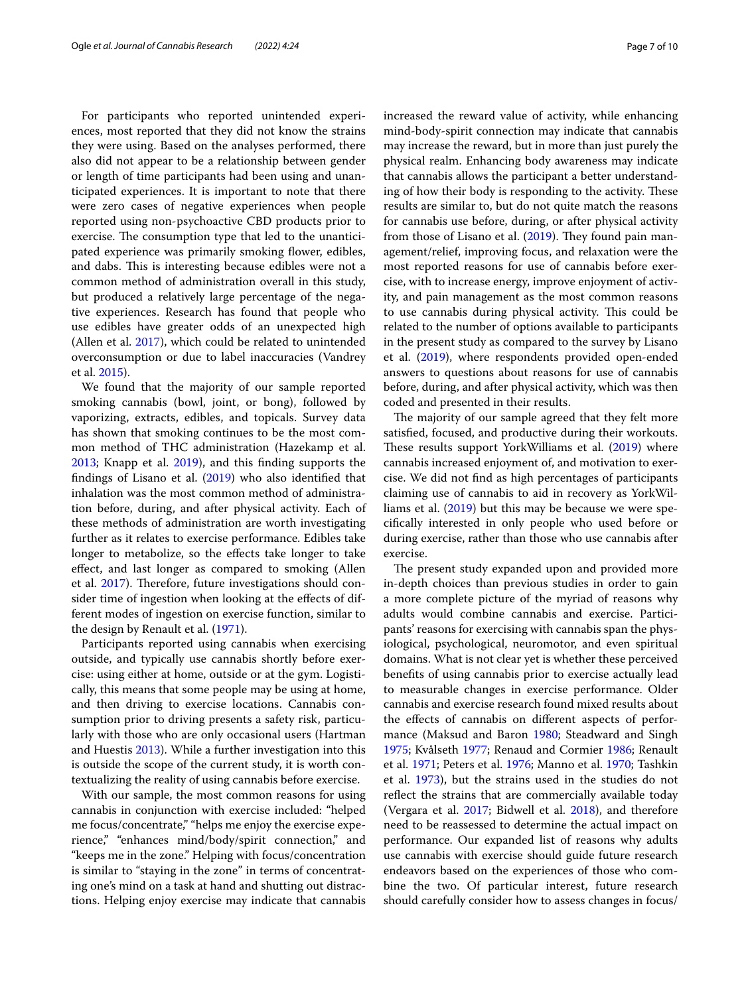For participants who reported unintended experiences, most reported that they did not know the strains they were using. Based on the analyses performed, there also did not appear to be a relationship between gender or length of time participants had been using and unanticipated experiences. It is important to note that there were zero cases of negative experiences when people reported using non-psychoactive CBD products prior to exercise. The consumption type that led to the unanticipated experience was primarily smoking flower, edibles, and dabs. This is interesting because edibles were not a common method of administration overall in this study, but produced a relatively large percentage of the negative experiences. Research has found that people who use edibles have greater odds of an unexpected high (Allen et al. [2017](#page-8-19)), which could be related to unintended overconsumption or due to label inaccuracies (Vandrey et al. [2015\)](#page-9-18).

We found that the majority of our sample reported smoking cannabis (bowl, joint, or bong), followed by vaporizing, extracts, edibles, and topicals. Survey data has shown that smoking continues to be the most common method of THC administration (Hazekamp et al. [2013](#page-8-20); Knapp et al. [2019\)](#page-8-21), and this fnding supports the findings of Lisano et al.  $(2019)$  $(2019)$  who also identified that inhalation was the most common method of administration before, during, and after physical activity. Each of these methods of administration are worth investigating further as it relates to exercise performance. Edibles take longer to metabolize, so the efects take longer to take efect, and last longer as compared to smoking (Allen et al. [2017\)](#page-8-19). Therefore, future investigations should consider time of ingestion when looking at the efects of different modes of ingestion on exercise function, similar to the design by Renault et al. [\(1971](#page-9-3)).

Participants reported using cannabis when exercising outside, and typically use cannabis shortly before exercise: using either at home, outside or at the gym. Logistically, this means that some people may be using at home, and then driving to exercise locations. Cannabis consumption prior to driving presents a safety risk, particularly with those who are only occasional users (Hartman and Huestis [2013](#page-8-22)). While a further investigation into this is outside the scope of the current study, it is worth contextualizing the reality of using cannabis before exercise.

With our sample, the most common reasons for using cannabis in conjunction with exercise included: "helped me focus/concentrate," "helps me enjoy the exercise experience," "enhances mind/body/spirit connection," and "keeps me in the zone." Helping with focus/concentration is similar to "staying in the zone" in terms of concentrating one's mind on a task at hand and shutting out distractions. Helping enjoy exercise may indicate that cannabis increased the reward value of activity, while enhancing mind-body-spirit connection may indicate that cannabis may increase the reward, but in more than just purely the physical realm. Enhancing body awareness may indicate that cannabis allows the participant a better understanding of how their body is responding to the activity. These results are similar to, but do not quite match the reasons for cannabis use before, during, or after physical activity from those of Lisano et al.  $(2019)$  $(2019)$  $(2019)$ . They found pain management/relief, improving focus, and relaxation were the most reported reasons for use of cannabis before exercise, with to increase energy, improve enjoyment of activity, and pain management as the most common reasons to use cannabis during physical activity. This could be related to the number of options available to participants in the present study as compared to the survey by Lisano et al. [\(2019\)](#page-8-12), where respondents provided open-ended answers to questions about reasons for use of cannabis before, during, and after physical activity, which was then coded and presented in their results.

The majority of our sample agreed that they felt more satisfed, focused, and productive during their workouts. These results support YorkWilliams et al. ([2019](#page-9-12)) where cannabis increased enjoyment of, and motivation to exercise. We did not fnd as high percentages of participants claiming use of cannabis to aid in recovery as YorkWilliams et al. ([2019](#page-9-12)) but this may be because we were specifcally interested in only people who used before or during exercise, rather than those who use cannabis after exercise.

The present study expanded upon and provided more in-depth choices than previous studies in order to gain a more complete picture of the myriad of reasons why adults would combine cannabis and exercise. Participants' reasons for exercising with cannabis span the physiological, psychological, neuromotor, and even spiritual domains. What is not clear yet is whether these perceived benefts of using cannabis prior to exercise actually lead to measurable changes in exercise performance. Older cannabis and exercise research found mixed results about the efects of cannabis on diferent aspects of performance (Maksud and Baron [1980](#page-9-0); Steadward and Singh [1975](#page-9-1); Kvålseth [1977](#page-8-2); Renaud and Cormier [1986;](#page-9-2) Renault et al. [1971;](#page-9-3) Peters et al. [1976;](#page-9-4) Manno et al. [1970](#page-9-5); Tashkin et al. [1973\)](#page-9-6), but the strains used in the studies do not refect the strains that are commercially available today (Vergara et al. [2017](#page-9-8); Bidwell et al. [2018\)](#page-8-4), and therefore need to be reassessed to determine the actual impact on performance. Our expanded list of reasons why adults use cannabis with exercise should guide future research endeavors based on the experiences of those who combine the two. Of particular interest, future research should carefully consider how to assess changes in focus/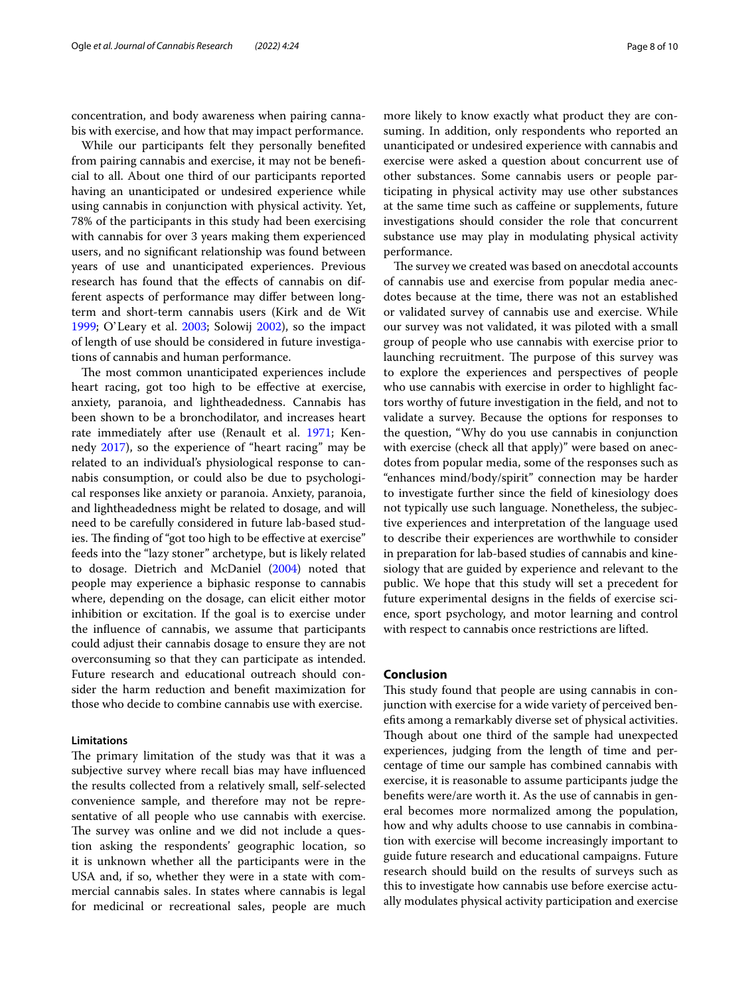concentration, and body awareness when pairing cannabis with exercise, and how that may impact performance.

While our participants felt they personally benefted from pairing cannabis and exercise, it may not be benefcial to all. About one third of our participants reported having an unanticipated or undesired experience while using cannabis in conjunction with physical activity. Yet, 78% of the participants in this study had been exercising with cannabis for over 3 years making them experienced users, and no signifcant relationship was found between years of use and unanticipated experiences. Previous research has found that the efects of cannabis on different aspects of performance may difer between longterm and short-term cannabis users (Kirk and de Wit [1999](#page-8-23); O'Leary et al. [2003](#page-9-19); Solowij [2002\)](#page-9-20), so the impact of length of use should be considered in future investigations of cannabis and human performance.

The most common unanticipated experiences include heart racing, got too high to be efective at exercise, anxiety, paranoia, and lightheadedness. Cannabis has been shown to be a bronchodilator, and increases heart rate immediately after use (Renault et al. [1971](#page-9-3); Kennedy [2017\)](#page-8-24), so the experience of "heart racing" may be related to an individual's physiological response to cannabis consumption, or could also be due to psychological responses like anxiety or paranoia. Anxiety, paranoia, and lightheadedness might be related to dosage, and will need to be carefully considered in future lab-based studies. The finding of "got too high to be effective at exercise" feeds into the "lazy stoner" archetype, but is likely related to dosage. Dietrich and McDaniel [\(2004](#page-8-25)) noted that people may experience a biphasic response to cannabis where, depending on the dosage, can elicit either motor inhibition or excitation. If the goal is to exercise under the infuence of cannabis, we assume that participants could adjust their cannabis dosage to ensure they are not overconsuming so that they can participate as intended. Future research and educational outreach should consider the harm reduction and beneft maximization for those who decide to combine cannabis use with exercise.

#### **Limitations**

The primary limitation of the study was that it was a subjective survey where recall bias may have infuenced the results collected from a relatively small, self-selected convenience sample, and therefore may not be representative of all people who use cannabis with exercise. The survey was online and we did not include a question asking the respondents' geographic location, so it is unknown whether all the participants were in the USA and, if so, whether they were in a state with commercial cannabis sales. In states where cannabis is legal for medicinal or recreational sales, people are much more likely to know exactly what product they are consuming. In addition, only respondents who reported an unanticipated or undesired experience with cannabis and exercise were asked a question about concurrent use of other substances. Some cannabis users or people participating in physical activity may use other substances at the same time such as cafeine or supplements, future investigations should consider the role that concurrent substance use may play in modulating physical activity performance.

The survey we created was based on anecdotal accounts of cannabis use and exercise from popular media anecdotes because at the time, there was not an established or validated survey of cannabis use and exercise. While our survey was not validated, it was piloted with a small group of people who use cannabis with exercise prior to launching recruitment. The purpose of this survey was to explore the experiences and perspectives of people who use cannabis with exercise in order to highlight factors worthy of future investigation in the feld, and not to validate a survey. Because the options for responses to the question, "Why do you use cannabis in conjunction with exercise (check all that apply)" were based on anecdotes from popular media, some of the responses such as "enhances mind/body/spirit" connection may be harder to investigate further since the feld of kinesiology does not typically use such language. Nonetheless, the subjective experiences and interpretation of the language used to describe their experiences are worthwhile to consider in preparation for lab-based studies of cannabis and kinesiology that are guided by experience and relevant to the public. We hope that this study will set a precedent for future experimental designs in the felds of exercise science, sport psychology, and motor learning and control with respect to cannabis once restrictions are lifted.

#### **Conclusion**

This study found that people are using cannabis in conjunction with exercise for a wide variety of perceived benefts among a remarkably diverse set of physical activities. Though about one third of the sample had unexpected experiences, judging from the length of time and percentage of time our sample has combined cannabis with exercise, it is reasonable to assume participants judge the benefts were/are worth it. As the use of cannabis in general becomes more normalized among the population, how and why adults choose to use cannabis in combination with exercise will become increasingly important to guide future research and educational campaigns. Future research should build on the results of surveys such as this to investigate how cannabis use before exercise actually modulates physical activity participation and exercise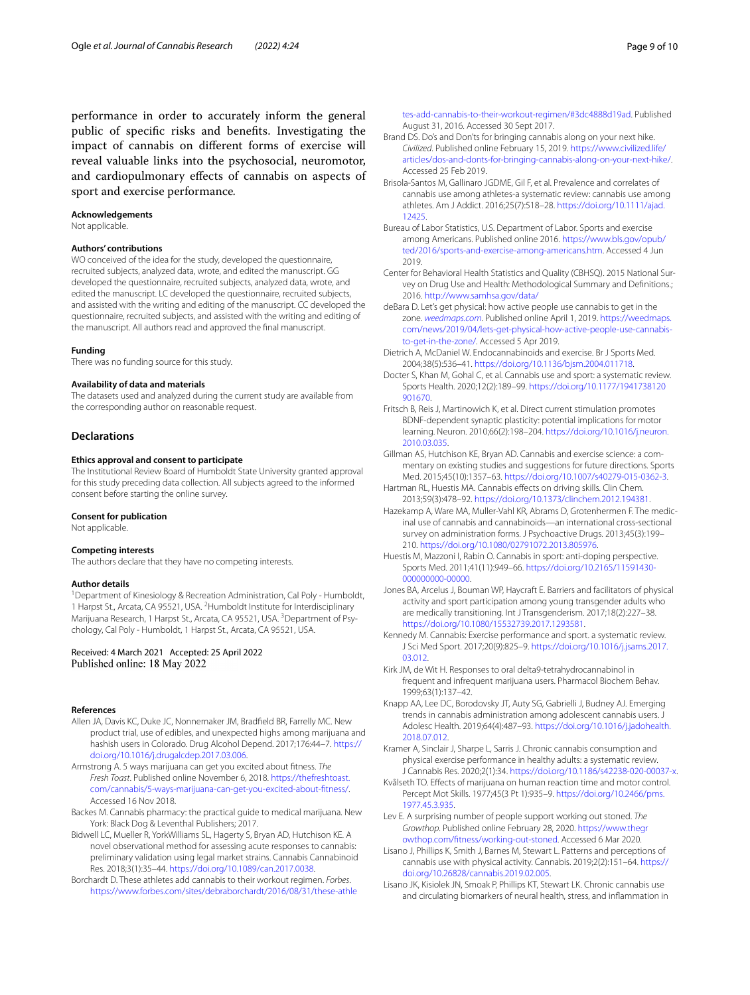performance in order to accurately inform the general public of specifc risks and benefts. Investigating the impact of cannabis on diferent forms of exercise will reveal valuable links into the psychosocial, neuromotor, and cardiopulmonary efects of cannabis on aspects of sport and exercise performance*.*

#### **Acknowledgements**

Not applicable.

#### **Authors' contributions**

WO conceived of the idea for the study, developed the questionnaire, recruited subjects, analyzed data, wrote, and edited the manuscript. GG developed the questionnaire, recruited subjects, analyzed data, wrote, and edited the manuscript. LC developed the questionnaire, recruited subjects, and assisted with the writing and editing of the manuscript. CC developed the questionnaire, recruited subjects, and assisted with the writing and editing of the manuscript. All authors read and approved the fnal manuscript.

#### **Funding**

There was no funding source for this study.

#### **Availability of data and materials**

The datasets used and analyzed during the current study are available from the corresponding author on reasonable request.

#### **Declarations**

#### **Ethics approval and consent to participate**

The Institutional Review Board of Humboldt State University granted approval for this study preceding data collection. All subjects agreed to the informed consent before starting the online survey.

#### **Consent for publication**

Not applicable.

#### **Competing interests**

The authors declare that they have no competing interests.

#### **Author details**

<sup>1</sup> Department of Kinesiology & Recreation Administration, Cal Poly - Humboldt, 1 Harpst St., Arcata, CA 95521, USA. <sup>2</sup> Humboldt Institute for Interdisciplinary Marijuana Research, 1 Harpst St., Arcata, CA 95521, USA. <sup>3</sup> Department of Psychology, Cal Poly - Humboldt, 1 Harpst St., Arcata, CA 95521, USA.

# Received: 4 March 2021 Accepted: 25 April 2022<br>Published online: 18 May 2022

#### **References**

- <span id="page-8-19"></span>Allen JA, Davis KC, Duke JC, Nonnemaker JM, Bradfeld BR, Farrelly MC. New product trial, use of edibles, and unexpected highs among marijuana and hashish users in Colorado. Drug Alcohol Depend. 2017;176:44–7. [https://](https://doi.org/10.1016/j.drugalcdep.2017.03.006) [doi.org/10.1016/j.drugalcdep.2017.03.006](https://doi.org/10.1016/j.drugalcdep.2017.03.006).
- <span id="page-8-5"></span>Armstrong A. 5 ways marijuana can get you excited about ftness. *The Fresh Toast*. Published online November 6, 2018. [https://thefreshtoast.](https://thefreshtoast.com/cannabis/5-ways-marijuana-can-get-you-excited-about-fitness/) [com/cannabis/5-ways-marijuana-can-get-you-excited-about-ftness/.](https://thefreshtoast.com/cannabis/5-ways-marijuana-can-get-you-excited-about-fitness/) Accessed 16 Nov 2018.
- <span id="page-8-18"></span>Backes M. Cannabis pharmacy: the practical guide to medical marijuana. New York: Black Dog & Leventhal Publishers; 2017.
- <span id="page-8-4"></span>Bidwell LC, Mueller R, YorkWilliams SL, Hagerty S, Bryan AD, Hutchison KE. A novel observational method for assessing acute responses to cannabis: preliminary validation using legal market strains. Cannabis Cannabinoid Res. 2018;3(1):35–44. <https://doi.org/10.1089/can.2017.0038>.
- <span id="page-8-6"></span>Borchardt D. These athletes add cannabis to their workout regimen. *Forbes*. [https://www.forbes.com/sites/debraborchardt/2016/08/31/these-athle](https://www.forbes.com/sites/debraborchardt/2016/08/31/these-athletes-add-cannabis-to-their-workout-regimen/#3dc4888d19ad)

[tes-add-cannabis-to-their-workout-regimen/#3dc4888d19ad](https://www.forbes.com/sites/debraborchardt/2016/08/31/these-athletes-add-cannabis-to-their-workout-regimen/#3dc4888d19ad). Published August 31, 2016. Accessed 30 Sept 2017.

- <span id="page-8-7"></span>Brand DS. Do's and Don'ts for bringing cannabis along on your next hike. *Civilized*. Published online February 15, 2019. [https://www.civilized.life/](https://www.civilized.life/articles/dos-and-donts-for-bringing-cannabis-along-on-your-next-hike/) [articles/dos-and-donts-for-bringing-cannabis-along-on-your-next-hike/.](https://www.civilized.life/articles/dos-and-donts-for-bringing-cannabis-along-on-your-next-hike/) Accessed 25 Feb 2019.
- <span id="page-8-1"></span>Brisola-Santos M, Gallinaro JGDME, Gil F, et al. Prevalence and correlates of cannabis use among athletes-a systematic review: cannabis use among athletes. Am J Addict. 2016;25(7):518–28. [https://doi.org/10.1111/ajad.](https://doi.org/10.1111/ajad.12425) [12425](https://doi.org/10.1111/ajad.12425).
- <span id="page-8-14"></span>Bureau of Labor Statistics, U.S. Department of Labor. Sports and exercise among Americans. Published online 2016. [https://www.bls.gov/opub/](https://www.bls.gov/opub/ted/2016/sports-and-exercise-among-americans.htm) [ted/2016/sports-and-exercise-among-americans.htm.](https://www.bls.gov/opub/ted/2016/sports-and-exercise-among-americans.htm) Accessed 4 Jun 2019.
- <span id="page-8-0"></span>Center for Behavioral Health Statistics and Quality (CBHSQ). 2015 National Survey on Drug Use and Health: Methodological Summary and Defnitions.; 2016.<http://www.samhsa.gov/data/>
- <span id="page-8-8"></span>deBara D. Let's get physical: how active people use cannabis to get in the zone. *[weedmaps.com](http://weedmaps.com)*. Published online April 1, 2019. [https://weedmaps.](https://weedmaps.com/news/2019/04/lets-get-physical-how-active-people-use-cannabis-to-get-in-the-zone/) [com/news/2019/04/lets-get-physical-how-active-people-use-cannabis](https://weedmaps.com/news/2019/04/lets-get-physical-how-active-people-use-cannabis-to-get-in-the-zone/)[to-get-in-the-zone/](https://weedmaps.com/news/2019/04/lets-get-physical-how-active-people-use-cannabis-to-get-in-the-zone/). Accessed 5 Apr 2019.
- <span id="page-8-25"></span>Dietrich A, McDaniel W. Endocannabinoids and exercise. Br J Sports Med. 2004;38(5):536–41. [https://doi.org/10.1136/bjsm.2004.011718.](https://doi.org/10.1136/bjsm.2004.011718)
- <span id="page-8-10"></span>Docter S, Khan M, Gohal C, et al. Cannabis use and sport: a systematic review. Sports Health. 2020;12(2):189–99. [https://doi.org/10.1177/1941738120](https://doi.org/10.1177/1941738120901670) [901670.](https://doi.org/10.1177/1941738120901670)
- <span id="page-8-16"></span>Fritsch B, Reis J, Martinowich K, et al. Direct current stimulation promotes BDNF-dependent synaptic plasticity: potential implications for motor learning. Neuron. 2010;66(2):198–204. [https://doi.org/10.1016/j.neuron.](https://doi.org/10.1016/j.neuron.2010.03.035) [2010.03.035](https://doi.org/10.1016/j.neuron.2010.03.035).
- <span id="page-8-3"></span>Gillman AS, Hutchison KE, Bryan AD. Cannabis and exercise science: a commentary on existing studies and suggestions for future directions. Sports Med. 2015;45(10):1357–63. [https://doi.org/10.1007/s40279-015-0362-3.](https://doi.org/10.1007/s40279-015-0362-3)

<span id="page-8-22"></span>Hartman RL, Huestis MA. Cannabis efects on driving skills. Clin Chem. 2013;59(3):478–92. [https://doi.org/10.1373/clinchem.2012.194381.](https://doi.org/10.1373/clinchem.2012.194381)

- <span id="page-8-20"></span>Hazekamp A, Ware MA, Muller-Vahl KR, Abrams D, Grotenhermen F. The medicinal use of cannabis and cannabinoids—an international cross-sectional survey on administration forms. J Psychoactive Drugs. 2013;45(3):199– 210. <https://doi.org/10.1080/02791072.2013.805976>.
- <span id="page-8-17"></span>Huestis M, Mazzoni I, Rabin O. Cannabis in sport: anti-doping perspective. Sports Med. 2011;41(11):949–66. [https://doi.org/10.2165/11591430-](https://doi.org/10.2165/11591430-000000000-00000) [000000000-00000](https://doi.org/10.2165/11591430-000000000-00000).
- <span id="page-8-13"></span>Jones BA, Arcelus J, Bouman WP, Haycraft E. Barriers and facilitators of physical activity and sport participation among young transgender adults who are medically transitioning. Int J Transgenderism. 2017;18(2):227–38. [https://doi.org/10.1080/15532739.2017.1293581.](https://doi.org/10.1080/15532739.2017.1293581)
- <span id="page-8-24"></span>Kennedy M. Cannabis: Exercise performance and sport. a systematic review. J Sci Med Sport. 2017;20(9):825–9. [https://doi.org/10.1016/j.jsams.2017.](https://doi.org/10.1016/j.jsams.2017.03.012) [03.012](https://doi.org/10.1016/j.jsams.2017.03.012).
- <span id="page-8-23"></span>Kirk JM, de Wit H. Responses to oral delta9-tetrahydrocannabinol in frequent and infrequent marijuana users. Pharmacol Biochem Behav. 1999;63(1):137–42.
- <span id="page-8-21"></span>Knapp AA, Lee DC, Borodovsky JT, Auty SG, Gabrielli J, Budney AJ. Emerging trends in cannabis administration among adolescent cannabis users. J Adolesc Health. 2019;64(4):487–93. [https://doi.org/10.1016/j.jadohealth.](https://doi.org/10.1016/j.jadohealth.2018.07.012) [2018.07.012](https://doi.org/10.1016/j.jadohealth.2018.07.012).

<span id="page-8-11"></span>Kramer A, Sinclair J, Sharpe L, Sarris J. Chronic cannabis consumption and physical exercise performance in healthy adults: a systematic review. J Cannabis Res. 2020;2(1):34.<https://doi.org/10.1186/s42238-020-00037-x>.

- <span id="page-8-2"></span>Kvålseth TO. Efects of marijuana on human reaction time and motor control. Percept Mot Skills. 1977;45(3 Pt 1):935–9. [https://doi.org/10.2466/pms.](https://doi.org/10.2466/pms.1977.45.3.935) [1977.45.3.935](https://doi.org/10.2466/pms.1977.45.3.935).
- <span id="page-8-9"></span>Lev E. A surprising number of people support working out stoned. *The Growthop*. Published online February 28, 2020. [https://www.thegr](https://www.thegrowthop.com/fitness/working-out-stoned) [owthop.com/ftness/working-out-stoned.](https://www.thegrowthop.com/fitness/working-out-stoned) Accessed 6 Mar 2020.
- <span id="page-8-12"></span>Lisano J, Phillips K, Smith J, Barnes M, Stewart L. Patterns and perceptions of cannabis use with physical activity. Cannabis. 2019;2(2):151–64. [https://](https://doi.org/10.26828/cannabis.2019.02.005) [doi.org/10.26828/cannabis.2019.02.005.](https://doi.org/10.26828/cannabis.2019.02.005)
- <span id="page-8-15"></span>Lisano JK, Kisiolek JN, Smoak P, Phillips KT, Stewart LK. Chronic cannabis use and circulating biomarkers of neural health, stress, and infammation in